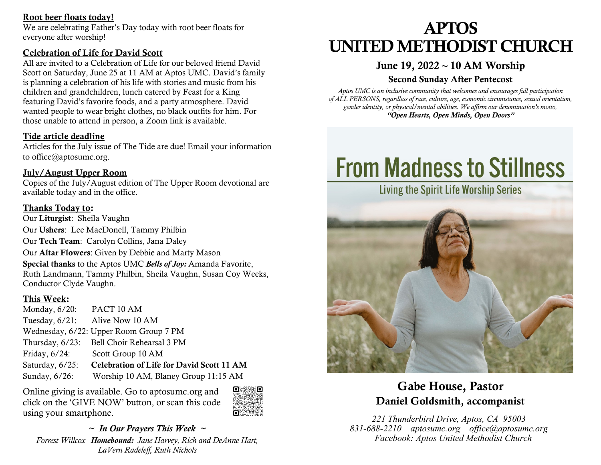## Root beer floats today!

We are celebrating Father's Day today with root beer floats for everyone after worship!

## Celebration of Life for David Scott

All are invited to a Celebration of Life for our beloved friend David Scott on Saturday, June 25 at 11 AM at Aptos UMC. David's family is planning a celebration of his life with stories and music from his children and grandchildren, lunch catered by Feast for a King featuring David's favorite foods, and a party atmosphere. David wanted people to wear bright clothes, no black outfits for him. For those unable to attend in person, a Zoom link is available.

## Tide article deadline

Articles for the July issue of The Tide are due! Email your information to office@aptosumc.org.

## July/August Upper Room

Copies of the July/August edition of The Upper Room devotional are available today and in the office.

## Thanks Today to:

Our Liturgist: Sheila Vaughn Our Ushers: Lee MacDonell, Tammy Philbin Our Tech Team: Carolyn Collins, Jana Daley Our Altar Flowers: Given by Debbie and Marty Mason Special thanks to the Aptos UMC *Bells of Joy:* Amanda Favorite, Ruth Landmann, Tammy Philbin, Sheila Vaughn, Susan Coy Weeks, Conductor Clyde Vaughn.

## This Week:

| Monday, $6/20$ : | PACT 10 AM                                       |
|------------------|--------------------------------------------------|
|                  | Tuesday, 6/21: Alive Now 10 AM                   |
|                  | Wednesday, 6/22: Upper Room Group 7 PM           |
|                  | Thursday, 6/23: Bell Choir Rehearsal 3 PM        |
| Friday, $6/24$ : | Scott Group 10 AM                                |
| Saturday, 6/25:  | <b>Celebration of Life for David Scott 11 AM</b> |
| Sunday, $6/26$ : | Worship 10 AM, Blaney Group 11:15 AM             |

Online giving is available. Go to aptosumc.org and click on the 'GIVE NOW' button, or scan this code using your smartphone.



*~ In Our Prayers This Week ~ Forrest Willcox Homebound: Jane Harvey, Rich and DeAnne Hart, LaVern Radeleff, Ruth Nichols*

# APTOS UNITED METHODIST CHURCH

## June 19, 2022 **~** 10 AM Worship

## Second Sunday After Pentecost

*Aptos UMC is an inclusive community that welcomes and encourages full participation of ALL PERSONS, regardless of race, culture, age, economic circumstance, sexual orientation, gender identity, or physical/mental abilities. We affirm our denomination's motto, "Open Hearts, Open Minds, Open Doors"*

# **From Madness to Stillness**



## Gabe House, Pastor Daniel Goldsmith, accompanist

*221 Thunderbird Drive, Aptos, CA 95003 831-688-2210 aptosumc.org office@aptosumc.org Facebook: Aptos United Methodist Church*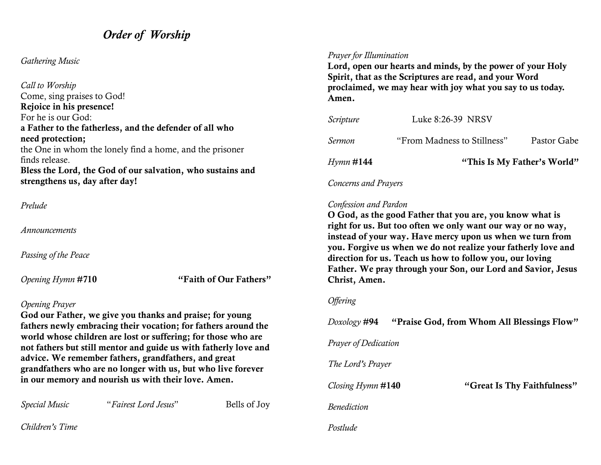## *Order of Worship*

## *Gathering Music*

*Call to Worship* Come, sing praises to God! Rejoice in his presence! For he is our God: a Father to the fatherless, and the defender of all who need protection; the One in whom the lonely find a home, and the prisoner finds release. Bless the Lord, the God of our salvation, who sustains and strengthens us, day after day!

### *Prelude*

*Announcements*

*Passing of the Peace*

*Opening Hymn* #710 "Faith of Our Fathers"

#### *Opening Prayer*

God our Father, we give you thanks and praise; for young fathers newly embracing their vocation; for fathers around the world whose children are lost or suffering; for those who are not fathers but still mentor and guide us with fatherly love and advice. We remember fathers, grandfathers, and great grandfathers who are no longer with us, but who live forever in our memory and nourish us with their love. Amen.

| uw rice, a c fementoef tutheld, grunwiutheld, unw greut<br>grandfathers who are no longer with us, but who live forever<br>in our memory and nourish us with their love. Amen. |                      |              | The Lord's Prayer      |                             |  |
|--------------------------------------------------------------------------------------------------------------------------------------------------------------------------------|----------------------|--------------|------------------------|-----------------------------|--|
|                                                                                                                                                                                |                      |              | Closing $H$ ymn $#140$ | "Great Is Thy Faithfulness" |  |
| <i>Special Music</i>                                                                                                                                                           | "Fairest Lord Jesus" | Bells of Joy | Benediction            |                             |  |
| Children's Time                                                                                                                                                                |                      |              | Postlude               |                             |  |

## *Prayer for Illumination*

Lord, open our hearts and minds, by the power of your Holy Spirit, that as the Scriptures are read, and your Word proclaimed, we may hear with joy what you say to us today. Amen.

| Hymn # <b>144</b> |                             | "This Is My Father's World" |  |  |
|-------------------|-----------------------------|-----------------------------|--|--|
| Sermon            | "From Madness to Stillness" | Pastor Gabe                 |  |  |
| <i>Scripture</i>  | Luke 8:26-39 NRSV           |                             |  |  |

*Concerns and Prayers*

#### *Confession and Pardon*

O God, as the good Father that you are, you know what is right for us. But too often we only want our way or no way, instead of your way. Have mercy upon us when we turn from you. Forgive us when we do not realize your fatherly love and direction for us. Teach us how to follow you, our loving Father. We pray through your Son, our Lord and Savior, Jesus Christ, Amen.

*Doxology* #94 "Praise God, from Whom All Blessings Flow"

#### *Offering*

*Prayer of Dedication*